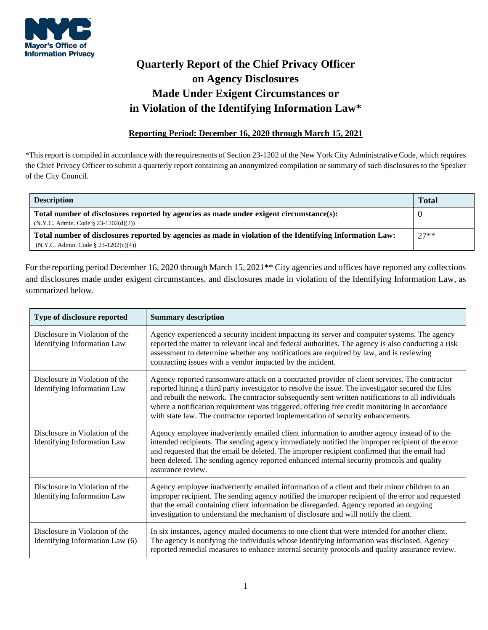

## **Quarterly Report of the Chief Privacy Officer on Agency Disclosures Made Under Exigent Circumstances or in Violation of the Identifying Information Law\***

## **Reporting Period: December 16, 2020 through March 15, 2021**

\*This report is compiled in accordance with the requirements of Section 23-1202 of the New York City Administrative Code, which requires the Chief Privacy Officer to submit a quarterly report containing an anonymized compilation or summary of such disclosures to the Speaker of the City Council.

| <b>Description</b>                                                                                        | <b>Total</b> |
|-----------------------------------------------------------------------------------------------------------|--------------|
| Total number of disclosures reported by agencies as made under exigent circumstance(s):                   |              |
| $(N.Y.C. Admin. Code § 23-1202(d)(2))$                                                                    |              |
| Total number of disclosures reported by agencies as made in violation of the Identifying Information Law: |              |
| $(N.Y.C. Admin. Code § 23-1202(c)(4))$                                                                    |              |

For the reporting period December 16, 2020 through March 15, 2021\*\* City agencies and offices have reported any collections and disclosures made under exigent circumstances, and disclosures made in violation of the Identifying Information Law, as summarized below.

| Type of disclosure reported                                          | <b>Summary description</b>                                                                                                                                                                                                                                                                                                                                                                                                                                                                      |
|----------------------------------------------------------------------|-------------------------------------------------------------------------------------------------------------------------------------------------------------------------------------------------------------------------------------------------------------------------------------------------------------------------------------------------------------------------------------------------------------------------------------------------------------------------------------------------|
| Disclosure in Violation of the<br><b>Identifying Information Law</b> | Agency experienced a security incident impacting its server and computer systems. The agency<br>reported the matter to relevant local and federal authorities. The agency is also conducting a risk<br>assessment to determine whether any notifications are required by law, and is reviewing<br>contracting issues with a vendor impacted by the incident.                                                                                                                                    |
| Disclosure in Violation of the<br><b>Identifying Information Law</b> | Agency reported ransomware attack on a contracted provider of client services. The contractor<br>reported hiring a third party investigator to resolve the issue. The investigator secured the files<br>and rebuilt the network. The contractor subsequently sent written notifications to all individuals<br>where a notification requirement was triggered, offering free credit monitoring in accordance<br>with state law. The contractor reported implementation of security enhancements. |
| Disclosure in Violation of the<br><b>Identifying Information Law</b> | Agency employee inadvertently emailed client information to another agency instead of to the<br>intended recipients. The sending agency immediately notified the improper recipient of the error<br>and requested that the email be deleted. The improper recipient confirmed that the email had<br>been deleted. The sending agency reported enhanced internal security protocols and quality<br>assurance review.                                                                             |
| Disclosure in Violation of the<br><b>Identifying Information Law</b> | Agency employee inadvertently emailed information of a client and their minor children to an<br>improper recipient. The sending agency notified the improper recipient of the error and requested<br>that the email containing client information be disregarded. Agency reported an ongoing<br>investigation to understand the mechanism of disclosure and will notify the client.                                                                                                             |
| Disclosure in Violation of the<br>Identifying Information Law (6)    | In six instances, agency mailed documents to one client that were intended for another client.<br>The agency is notifying the individuals whose identifying information was disclosed. Agency<br>reported remedial measures to enhance internal security protocols and quality assurance review.                                                                                                                                                                                                |